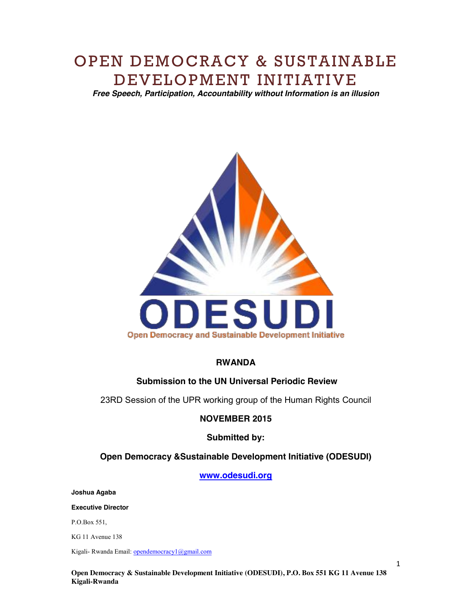# OPEN DEMOCRACY & SUSTAINABLE DEVELOPMENT INITIATIVE

*Free Speech, Participation, Accountability without Information is an illusion*



## **RWANDA**

# **Submission to the UN Universal Periodic Review**

23RD Session of the UPR working group of the Human Rights Council

## **NOVEMBER 2015**

## **Submitted by:**

## **Open Democracy &Sustainable Development Initiative (ODESUDI)**

## **www.odesudi.org**

**Joshua Agaba** 

**Executive Director** 

P.O.Box 551,

KG 11 Avenue 138

Kigali- Rwanda Email: opendemocracy1@gmail.com

**Open Democracy & Sustainable Development Initiative (ODESUDI), P.O. Box 551 KG 11 Avenue 138 Kigali-Rwanda**

1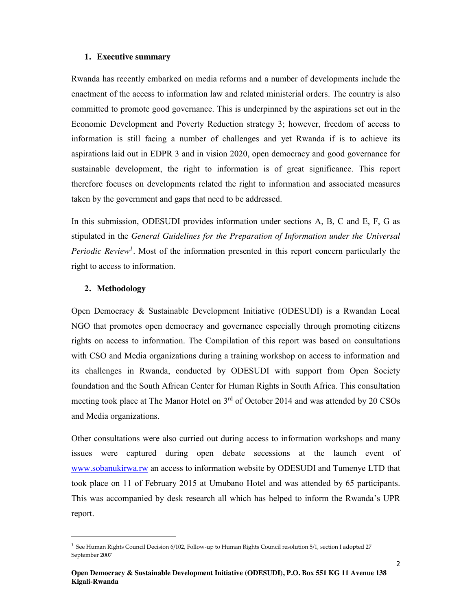#### **1. Executive summary**

Rwanda has recently embarked on media reforms and a number of developments include the enactment of the access to information law and related ministerial orders. The country is also committed to promote good governance. This is underpinned by the aspirations set out in the Economic Development and Poverty Reduction strategy 3; however, freedom of access to information is still facing a number of challenges and yet Rwanda if is to achieve its aspirations laid out in EDPR 3 and in vision 2020, open democracy and good governance for sustainable development, the right to information is of great significance. This report therefore focuses on developments related the right to information and associated measures taken by the government and gaps that need to be addressed.

In this submission, ODESUDI provides information under sections A, B, C and E, F, G as stipulated in the *General Guidelines for the Preparation of Information under the Universal Periodic Review<sup>1</sup>*. Most of the information presented in this report concern particularly the right to access to information.

#### **2. Methodology**

-

Open Democracy & Sustainable Development Initiative (ODESUDI) is a Rwandan Local NGO that promotes open democracy and governance especially through promoting citizens rights on access to information. The Compilation of this report was based on consultations with CSO and Media organizations during a training workshop on access to information and its challenges in Rwanda, conducted by ODESUDI with support from Open Society foundation and the South African Center for Human Rights in South Africa. This consultation meeting took place at The Manor Hotel on 3rd of October 2014 and was attended by 20 CSOs and Media organizations.

Other consultations were also curried out during access to information workshops and many issues were captured during open debate secessions at the launch event of www.sobanukirwa.rw an access to information website by ODESUDI and Tumenye LTD that took place on 11 of February 2015 at Umubano Hotel and was attended by 65 participants. This was accompanied by desk research all which has helped to inform the Rwanda's UPR report.

*<sup>1</sup>* See Human Rights Council Decision 6/102, Follow‐up to Human Rights Council resolution 5/1, section I adopted 27 September 2007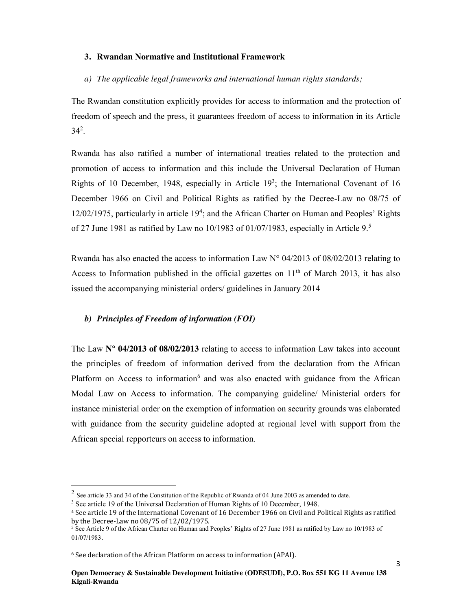## **3. Rwandan Normative and Institutional Framework**

# *a) The applicable legal frameworks and international human rights standards;*

The Rwandan constitution explicitly provides for access to information and the protection of freedom of speech and the press, it guarantees freedom of access to information in its Article  $34^2$ .

Rwanda has also ratified a number of international treaties related to the protection and promotion of access to information and this include the Universal Declaration of Human Rights of 10 December, 1948, especially in Article  $19<sup>3</sup>$ ; the International Covenant of 16 December 1966 on Civil and Political Rights as ratified by the Decree-Law no 08/75 of 12/02/1975, particularly in article 19<sup>4</sup>; and the African Charter on Human and Peoples' Rights of 27 June 1981 as ratified by Law no 10/1983 of 01/07/1983, especially in Article 9.<sup>5</sup>

Rwanda has also enacted the access to information Law  $N^{\circ}$  04/2013 of 08/02/2013 relating to Access to Information published in the official gazettes on  $11<sup>th</sup>$  of March 2013, it has also issued the accompanying ministerial orders/ guidelines in January 2014

# *b) Principles of Freedom of information (FOI)*

The Law **N° 04/2013 of 08/02/2013** relating to access to information Law takes into account the principles of freedom of information derived from the declaration from the African Platform on Access to information<sup>6</sup> and was also enacted with guidance from the African Modal Law on Access to information. The companying guideline/ Ministerial orders for instance ministerial order on the exemption of information on security grounds was elaborated with guidance from the security guideline adopted at regional level with support from the African special repporteurs on access to information.

-

<sup>2</sup> See article 33 and 34 of the Constitution of the Republic of Rwanda of 04 June 2003 as amended to date.

<sup>3</sup> See article 19 of the Universal Declaration of Human Rights of 10 December, 1948.

<sup>4</sup> See article 19 of the International Covenant of 16 December 1966 on Civil and Political Rights as ratified by the Decree-Law no 08/75 of 12/02/1975.

<sup>5</sup> See Article 9 of the African Charter on Human and Peoples' Rights of 27 June 1981 as ratified by Law no 10/1983 of 01/07/1983.

<sup>6</sup> See declaration of the African Platform on access to information (APAI).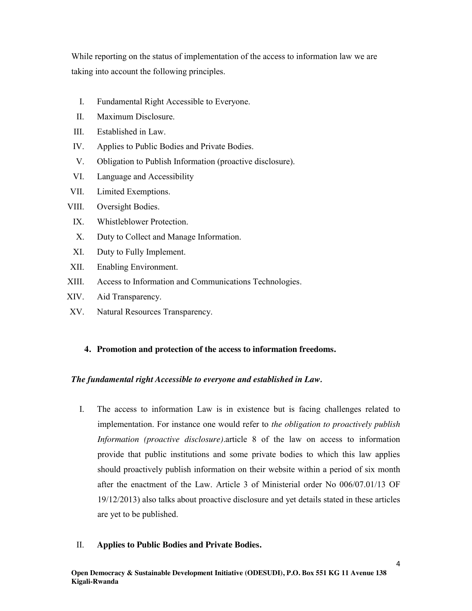While reporting on the status of implementation of the access to information law we are taking into account the following principles.

- I. Fundamental Right Accessible to Everyone.
- II. Maximum Disclosure.
- III. Established in Law.
- IV. Applies to Public Bodies and Private Bodies.
- V. Obligation to Publish Information (proactive disclosure).
- VI. Language and Accessibility
- VII. Limited Exemptions.

## VIII. Oversight Bodies.

- IX. Whistleblower Protection.
- X. Duty to Collect and Manage Information.
- XI. Duty to Fully Implement.
- XII. Enabling Environment.
- XIII. Access to Information and Communications Technologies.
- XIV. Aid Transparency.
- XV. Natural Resources Transparency.

## **4. Promotion and protection of the access to information freedoms.**

## *The fundamental right Accessible to everyone and established in Law.*

I. The access to information Law is in existence but is facing challenges related to implementation. For instance one would refer to *the obligation to proactively publish Information (proactive disclosure).*article 8 of the law on access to information provide that public institutions and some private bodies to which this law applies should proactively publish information on their website within a period of six month after the enactment of the Law. Article 3 of Ministerial order No 006/07.01/13 OF 19/12/2013) also talks about proactive disclosure and yet details stated in these articles are yet to be published.

## II. **Applies to Public Bodies and Private Bodies.**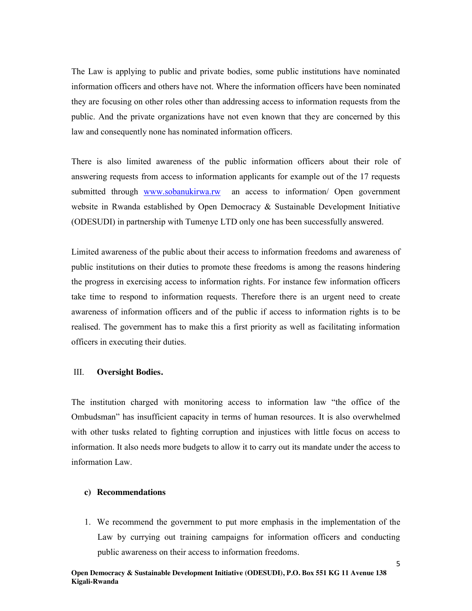The Law is applying to public and private bodies, some public institutions have nominated information officers and others have not. Where the information officers have been nominated they are focusing on other roles other than addressing access to information requests from the public. And the private organizations have not even known that they are concerned by this law and consequently none has nominated information officers.

There is also limited awareness of the public information officers about their role of answering requests from access to information applicants for example out of the 17 requests submitted through www.sobanukirwa.rw an access to information/ Open government website in Rwanda established by Open Democracy & Sustainable Development Initiative (ODESUDI) in partnership with Tumenye LTD only one has been successfully answered.

Limited awareness of the public about their access to information freedoms and awareness of public institutions on their duties to promote these freedoms is among the reasons hindering the progress in exercising access to information rights. For instance few information officers take time to respond to information requests. Therefore there is an urgent need to create awareness of information officers and of the public if access to information rights is to be realised. The government has to make this a first priority as well as facilitating information officers in executing their duties.

#### III. **Oversight Bodies.**

The institution charged with monitoring access to information law "the office of the Ombudsman" has insufficient capacity in terms of human resources. It is also overwhelmed with other tusks related to fighting corruption and injustices with little focus on access to information. It also needs more budgets to allow it to carry out its mandate under the access to information Law.

#### **c) Recommendations**

1. We recommend the government to put more emphasis in the implementation of the Law by currying out training campaigns for information officers and conducting public awareness on their access to information freedoms.